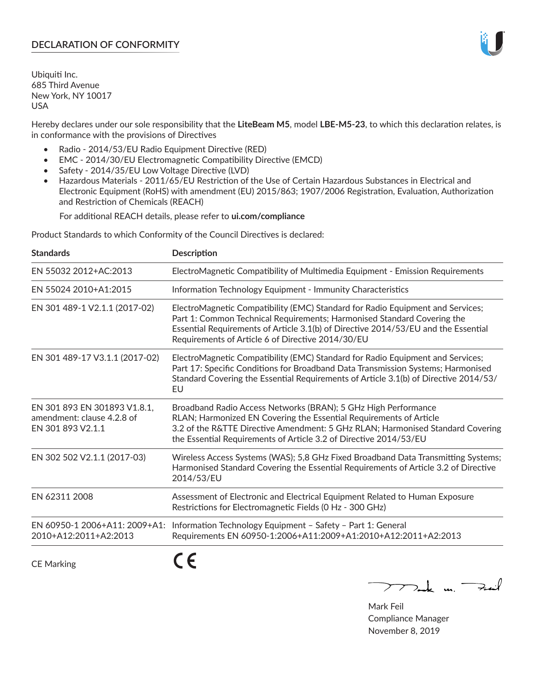# **DECLARATION OF CONFORMITY**

Ubiquiti Inc. 685 Third Avenue New York, NY 10017 USA

Hereby declares under our sole responsibility that the **LiteBeam M5**, model **LBE-M5-23**, to which this declaration relates, is in conformance with the provisions of Directives

- Radio 2014/53/EU Radio Equipment Directive (RED)
- EMC 2014/30/EU Electromagnetic Compatibility Directive (EMCD)
- Safety 2014/35/EU Low Voltage Directive (LVD)
- Hazardous Materials 2011/65/EU Restriction of the Use of Certain Hazardous Substances in Electrical and Electronic Equipment (RoHS) with amendment (EU) 2015/863; 1907/2006 Registration, Evaluation, Authorization and Restriction of Chemicals (REACH)

For additional REACH details, please refer to **ui.com/compliance**

Product Standards to which Conformity of the Council Directives is declared:

| <b>Standards</b>                                                                | <b>Description</b>                                                                                                                                                                                                                                                                                   |
|---------------------------------------------------------------------------------|------------------------------------------------------------------------------------------------------------------------------------------------------------------------------------------------------------------------------------------------------------------------------------------------------|
| EN 55032 2012+AC:2013                                                           | ElectroMagnetic Compatibility of Multimedia Equipment - Emission Requirements                                                                                                                                                                                                                        |
| EN 55024 2010+A1:2015                                                           | Information Technology Equipment - Immunity Characteristics                                                                                                                                                                                                                                          |
| EN 301 489-1 V2.1.1 (2017-02)                                                   | ElectroMagnetic Compatibility (EMC) Standard for Radio Equipment and Services;<br>Part 1: Common Technical Requirements; Harmonised Standard Covering the<br>Essential Requirements of Article 3.1(b) of Directive 2014/53/EU and the Essential<br>Requirements of Article 6 of Directive 2014/30/EU |
| EN 301 489-17 V3.1.1 (2017-02)                                                  | ElectroMagnetic Compatibility (EMC) Standard for Radio Equipment and Services;<br>Part 17: Specific Conditions for Broadband Data Transmission Systems; Harmonised<br>Standard Covering the Essential Requirements of Article 3.1(b) of Directive 2014/53/<br>EU                                     |
| EN 301 893 EN 301893 V1.8.1,<br>amendment: clause 4.2.8 of<br>EN 301 893 V2.1.1 | Broadband Radio Access Networks (BRAN); 5 GHz High Performance<br>RLAN; Harmonized EN Covering the Essential Requirements of Article<br>3.2 of the R&TTE Directive Amendment: 5 GHz RLAN; Harmonised Standard Covering<br>the Essential Requirements of Article 3.2 of Directive 2014/53/EU          |
| EN 302 502 V2.1.1 (2017-03)                                                     | Wireless Access Systems (WAS); 5,8 GHz Fixed Broadband Data Transmitting Systems;<br>Harmonised Standard Covering the Essential Requirements of Article 3.2 of Directive<br>2014/53/EU                                                                                                               |
| EN 62311 2008                                                                   | Assessment of Electronic and Electrical Equipment Related to Human Exposure<br>Restrictions for Electromagnetic Fields (0 Hz - 300 GHz)                                                                                                                                                              |
| EN 60950-1 2006+A11: 2009+A1:<br>2010+A12:2011+A2:2013                          | Information Technology Equipment - Safety - Part 1: General<br>Requirements EN 60950-1:2006+A11:2009+A1:2010+A12:2011+A2:2013                                                                                                                                                                        |
| <b>CE Marking</b>                                                               |                                                                                                                                                                                                                                                                                                      |

 $772$ ak m. Fail

Mark Feil Compliance Manager November 8, 2019

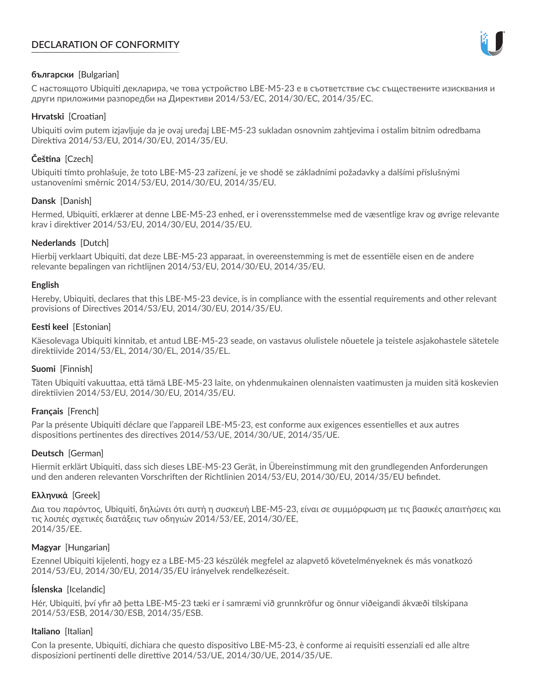# **DECLARATION OF CONFORMITY**



# **български** [Bulgarian]

С настоящото Ubiquiti декларира, че това устройство LBE-M5-23 е в съответствие със съществените изисквания и други приложими разпоредби на Директиви 2014/53/EC, 2014/30/ЕС, 2014/35/ЕС.

## **Hrvatski** [Croatian]

Ubiquiti ovim putem izjavljuje da je ovaj uređaj LBE-M5-23 sukladan osnovnim zahtjevima i ostalim bitnim odredbama Direktiva 2014/53/EU, 2014/30/EU, 2014/35/EU.

# **Čeština** [Czech]

Ubiquiti tímto prohlašuje, že toto LBE-M5-23 zařízení, je ve shodě se základními požadavky a dalšími příslušnými ustanoveními směrnic 2014/53/EU, 2014/30/EU, 2014/35/EU.

# **Dansk** [Danish]

Hermed, Ubiquiti, erklærer at denne LBE-M5-23 enhed, er i overensstemmelse med de væsentlige krav og øvrige relevante krav i direktiver 2014/53/EU, 2014/30/EU, 2014/35/EU.

# **Nederlands** [Dutch]

Hierbij verklaart Ubiquiti, dat deze LBE-M5-23 apparaat, in overeenstemming is met de essentiële eisen en de andere relevante bepalingen van richtlijnen 2014/53/EU, 2014/30/EU, 2014/35/EU.

## **English**

Hereby, Ubiquiti, declares that this LBE-M5-23 device, is in compliance with the essential requirements and other relevant provisions of Directives 2014/53/EU, 2014/30/EU, 2014/35/EU.

# **Eesti keel** [Estonian]

Käesolevaga Ubiquiti kinnitab, et antud LBE-M5-23 seade, on vastavus olulistele nõuetele ja teistele asjakohastele sätetele direktiivide 2014/53/EL, 2014/30/EL, 2014/35/EL.

## **Suomi** [Finnish]

Täten Ubiquiti vakuuttaa, että tämä LBE-M5-23 laite, on yhdenmukainen olennaisten vaatimusten ja muiden sitä koskevien direktiivien 2014/53/EU, 2014/30/EU, 2014/35/EU.

## **Français** [French]

Par la présente Ubiquiti déclare que l'appareil LBE-M5-23, est conforme aux exigences essentielles et aux autres dispositions pertinentes des directives 2014/53/UE, 2014/30/UE, 2014/35/UE.

## **Deutsch** [German]

Hiermit erklärt Ubiquiti, dass sich dieses LBE-M5-23 Gerät, in Übereinstimmung mit den grundlegenden Anforderungen und den anderen relevanten Vorschriften der Richtlinien 2014/53/EU, 2014/30/EU, 2014/35/EU befindet.

## **Ελληνικά** [Greek]

Δια του παρόντος, Ubiquiti, δηλώνει ότι αυτή η συσκευή LBE-M5-23, είναι σε συμμόρφωση με τις βασικές απαιτήσεις και τις λοιπές σχετικές διατάξεις των οδηγιών 2014/53/EE, 2014/30/EE, 2014/35/EE.

## **Magyar** [Hungarian]

Ezennel Ubiquiti kijelenti, hogy ez a LBE-M5-23 készülék megfelel az alapvető követelményeknek és más vonatkozó 2014/53/EU, 2014/30/EU, 2014/35/EU irányelvek rendelkezéseit.

## **Íslenska** [Icelandic]

Hér, Ubiquiti, því yfir að þetta LBE-M5-23 tæki er í samræmi við grunnkröfur og önnur viðeigandi ákvæði tilskipana 2014/53/ESB, 2014/30/ESB, 2014/35/ESB.

## **Italiano** [Italian]

Con la presente, Ubiquiti, dichiara che questo dispositivo LBE-M5-23, è conforme ai requisiti essenziali ed alle altre disposizioni pertinenti delle direttive 2014/53/UE, 2014/30/UE, 2014/35/UE.